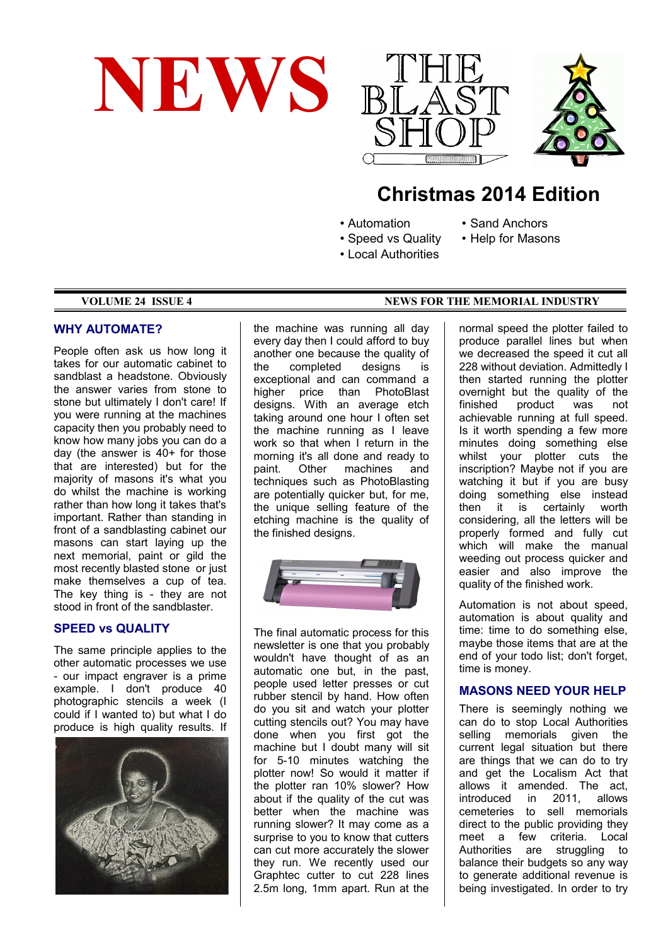





# **Christmas 2014 Edition**

- Automation
- 
- Speed vs Quality
- Sand Anchors
- 
- Help for Masons
- Local Authorities
- 

### **WHY AUTOMATE?**

People often ask us how long it takes for our automatic cabinet to sandblast a headstone. Obviously the answer varies from stone to stone but ultimately I don't care! If you were running at the machines capacity then you probably need to know how many jobs you can do a day (the answer is 40+ for those that are interested) but for the majority of masons it's what you do whilst the machine is working rather than how long it takes that's important. Rather than standing in front of a sandblasting cabinet our masons can start laying up the next memorial, paint or gild the most recently blasted stone or just make themselves a cup of tea. The key thing is - they are not stood in front of the sandblaster.

# **SPEED vs QUALITY**

The same principle applies to the other automatic processes we use - our impact engraver is a prime example. I don't produce 40 photographic stencils a week (I could if I wanted to) but what I do produce is high quality results. If



the machine was running all day every day then I could afford to buy another one because the quality of the completed designs is exceptional and can command a higher price than PhotoBlast designs. With an average etch taking around one hour I often set the machine running as I leave work so that when I return in the morning it's all done and ready to paint. Other machines and techniques such as PhotoBlasting are potentially quicker but, for me, the unique selling feature of the etching machine is the quality of the finished designs.



The final automatic process for this newsletter is one that you probably wouldn't have thought of as an automatic one but, in the past, people used letter presses or cut rubber stencil by hand. How often do you sit and watch your plotter cutting stencils out? You may have done when you first got the machine but I doubt many will sit for 5-10 minutes watching the plotter now! So would it matter if the plotter ran 10% slower? How about if the quality of the cut was better when the machine was running slower? It may come as a surprise to you to know that cutters can cut more accurately the slower they run. We recently used our Graphtec cutter to cut 228 lines 2.5m long, 1mm apart. Run at the

#### **VOLUME 24 ISSUE 4 NEWS FOR THE MEMORIAL INDUSTRY**

normal speed the plotter failed to produce parallel lines but when we decreased the speed it cut all 228 without deviation. Admittedly I then started running the plotter overnight but the quality of the product was not achievable running at full speed. Is it worth spending a few more minutes doing something else whilst your plotter cuts the inscription? Maybe not if you are watching it but if you are busy doing something else instead then it is certainly worth considering, all the letters will be properly formed and fully cut which will make the manual weeding out process quicker and easier and also improve the quality of the finished work.

Automation is not about speed, automation is about quality and time: time to do something else, maybe those items that are at the end of your todo list; don't forget, time is money.

# **MASONS NEED YOUR HELP**

There is seemingly nothing we can do to stop Local Authorities selling memorials given the current legal situation but there are things that we can do to try and get the Localism Act that allows it amended. The act,<br>introduced in 2011. allows in 2011, allows cemeteries to sell memorials direct to the public providing they meet a few criteria. Local Authorities are struggling to balance their budgets so any way to generate additional revenue is being investigated. In order to try